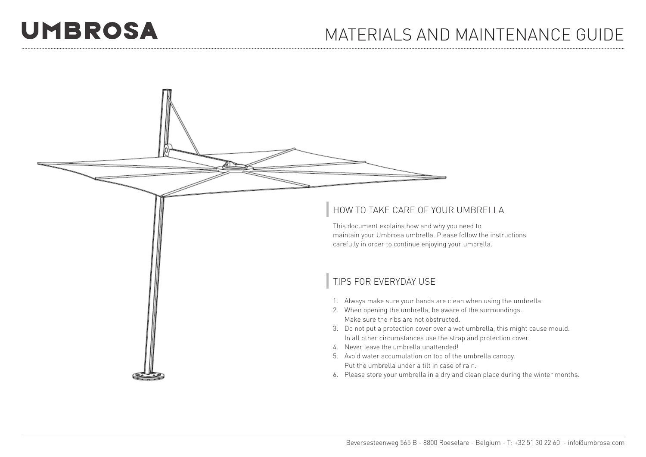## **UMBROSA**

## MATERIALS AND MAINTENANCE GUIDE



This document explains how and why you need to maintain your Umbrosa umbrella. Please follow the instructions carefully in order to continue enjoying your umbrella.

## TIPS FOR EVERYDAY USE

- 1. Always make sure your hands are clean when using the umbrella.
- 2. When opening the umbrella, be aware of the surroundings. Make sure the ribs are not obstructed.
- 3. Do not put a protection cover over a wet umbrella, this might cause mould. In all other circumstances use the strap and protection cover.
- 4. Never leave the umbrella unattended!
- 5. Avoid water accumulation on top of the umbrella canopy. Put the umbrella under a tilt in case of rain.
- 6. Please store your umbrella in a dry and clean place during the winter months.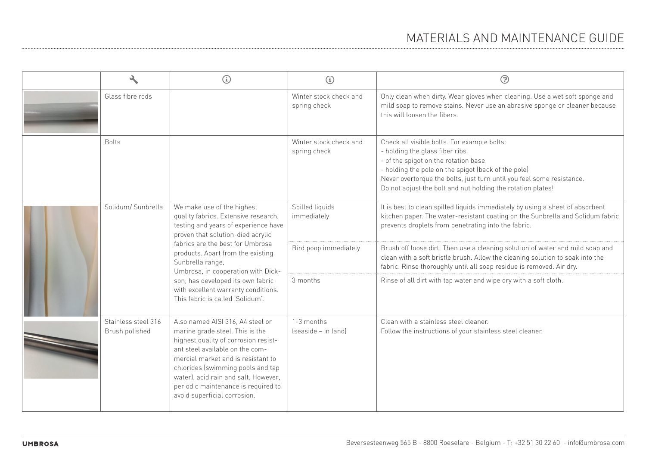|                                       | G                                                                                                                                                                                                                                                                                                                                                                                                  | ⊕                                      | ල                                                                                                                                                                                                                                                                                                                    |
|---------------------------------------|----------------------------------------------------------------------------------------------------------------------------------------------------------------------------------------------------------------------------------------------------------------------------------------------------------------------------------------------------------------------------------------------------|----------------------------------------|----------------------------------------------------------------------------------------------------------------------------------------------------------------------------------------------------------------------------------------------------------------------------------------------------------------------|
| Glass fibre rods                      |                                                                                                                                                                                                                                                                                                                                                                                                    | Winter stock check and<br>spring check | Only clean when dirty. Wear gloves when cleaning. Use a wet soft sponge and<br>mild soap to remove stains. Never use an abrasive sponge or cleaner because<br>this will loosen the fibers.                                                                                                                           |
| <b>Bolts</b>                          |                                                                                                                                                                                                                                                                                                                                                                                                    | Winter stock check and<br>spring check | Check all visible bolts. For example bolts:<br>- holding the glass fiber ribs<br>- of the spigot on the rotation base<br>- holding the pole on the spigot (back of the pole)<br>Never overtorque the bolts, just turn until you feel some resistance.<br>Do not adjust the bolt and nut holding the rotation plates! |
| Solidum/Sunbrella                     | We make use of the highest<br>quality fabrics. Extensive research,<br>testing and years of experience have<br>proven that solution-died acrylic<br>fabrics are the best for Umbrosa<br>products. Apart from the existing<br>Sunbrella range,<br>Umbrosa, in cooperation with Dick-<br>son, has developed its own fabric<br>with excellent warranty conditions.<br>This fabric is called 'Solidum'. | Spilled liquids<br>immediately         | It is best to clean spilled liquids immediately by using a sheet of absorbent<br>kitchen paper. The water-resistant coating on the Sunbrella and Solidum fabric<br>prevents droplets from penetrating into the fabric.                                                                                               |
|                                       |                                                                                                                                                                                                                                                                                                                                                                                                    | Bird poop immediately                  | Brush off loose dirt. Then use a cleaning solution of water and mild soap and<br>clean with a soft bristle brush. Allow the cleaning solution to soak into the<br>fabric. Rinse thoroughly until all soap residue is removed. Air dry.                                                                               |
|                                       |                                                                                                                                                                                                                                                                                                                                                                                                    | 3 months                               | Rinse of all dirt with tap water and wipe dry with a soft cloth.                                                                                                                                                                                                                                                     |
| Stainless steel 316<br>Brush polished | Also named AISI 316, A4 steel or<br>marine grade steel. This is the<br>highest quality of corrosion resist-<br>ant steel available on the com-<br>mercial market and is resistant to<br>chlorides (swimming pools and tap<br>water), acid rain and salt. However,<br>periodic maintenance is required to<br>avoid superficial corrosion.                                                           | 1-3 months<br>(seaside - in land)      | Clean with a stainless steel cleaner.<br>Follow the instructions of your stainless steel cleaner.                                                                                                                                                                                                                    |